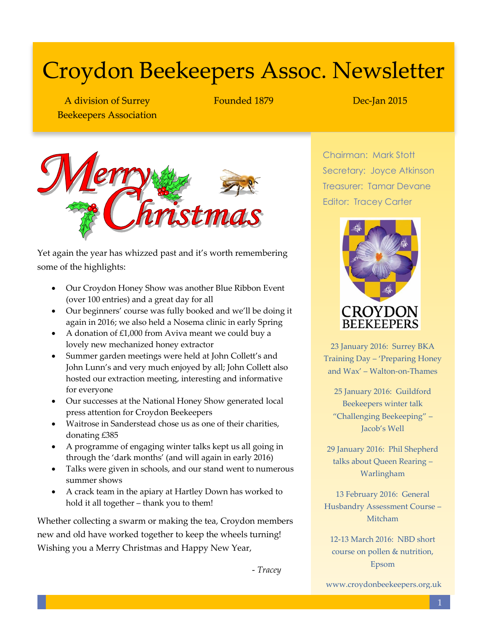# Croydon Beekeepers Assoc. Newsletter

A division of Surrey Beekeepers Association Founded 1879 Dec-Jan 2015



Yet again the year has whizzed past and it's worth remembering some of the highlights:

- Our Croydon Honey Show was another Blue Ribbon Event (over 100 entries) and a great day for all
- Our beginners' course was fully booked and we'll be doing it again in 2016; we also held a Nosema clinic in early Spring
- A donation of  $£1,000$  from Aviva meant we could buy a lovely new mechanized honey extractor
- Summer garden meetings were held at John Collett's and John Lunn's and very much enjoyed by all; John Collett also hosted our extraction meeting, interesting and informative for everyone
- Our successes at the National Honey Show generated local press attention for Croydon Beekeepers
- Waitrose in Sanderstead chose us as one of their charities, donating £385
- A programme of engaging winter talks kept us all going in through the 'dark months' (and will again in early 2016)
- Talks were given in schools, and our stand went to numerous summer shows
- A crack team in the apiary at Hartley Down has worked to hold it all together – thank you to them!

Whether collecting a swarm or making the tea, Croydon members new and old have worked together to keep the wheels turning! Wishing you a Merry Christmas and Happy New Year,

- *Tracey*

Chairman: Mark Stott Secretary: Joyce Atkinson Treasurer: Tamar Devane Editor: Tracey Carter



23 January 2016: Surrey BKA Training Day – 'Preparing Honey and Wax' – Walton-on-Thames

25 January 2016: Guildford Beekeepers winter talk "Challenging Beekeeping" – Jacob's Well

29 January 2016: Phil Shepherd talks about Queen Rearing – Warlingham

13 February 2016: General Husbandry Assessment Course – Mitcham

12-13 March 2016: NBD short course on pollen & nutrition, Epsom

www.croydonbeekeepers.org.uk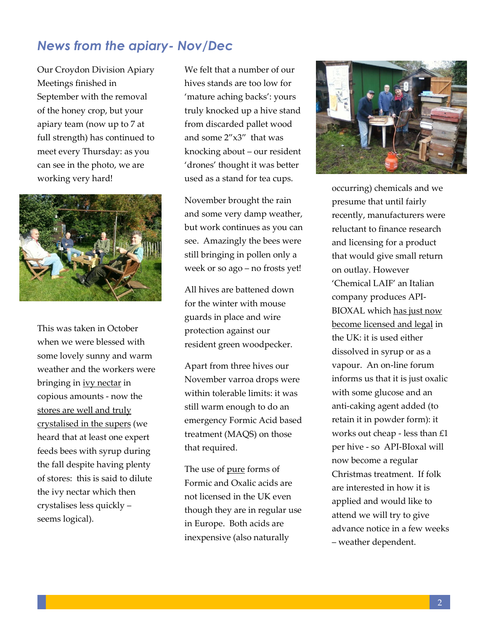### *News from the apiary- Nov/Dec*

Our Croydon Division Apiary Meetings finished in September with the removal of the honey crop, but your apiary team (now up to 7 at full strength) has continued to meet every Thursday: as you can see in the photo, we are working very hard!



This was taken in October when we were blessed with some lovely sunny and warm weather and the workers were bringing in ivy nectar in copious amounts - now the stores are well and truly crystalised in the supers (we heard that at least one expert feeds bees with syrup during the fall despite having plenty of stores: this is said to dilute the ivy nectar which then crystalises less quickly – seems logical).

We felt that a number of our hives stands are too low for 'mature aching backs': yours truly knocked up a hive stand from discarded pallet wood and some 2"x3" that was knocking about – our resident 'drones' thought it was better used as a stand for tea cups.

November brought the rain and some very damp weather, but work continues as you can see. Amazingly the bees were still bringing in pollen only a week or so ago – no frosts yet!

All hives are battened down for the winter with mouse guards in place and wire protection against our resident green woodpecker.

Apart from three hives our November varroa drops were within tolerable limits: it was still warm enough to do an emergency Formic Acid based treatment (MAQS) on those that required.

The use of pure forms of Formic and Oxalic acids are not licensed in the UK even though they are in regular use in Europe. Both acids are inexpensive (also naturally



occurring) chemicals and we presume that until fairly recently, manufacturers were reluctant to finance research and licensing for a product that would give small return on outlay. However 'Chemical LAIF' an Italian company produces API-BIOXAL which has just now become licensed and legal in the UK: it is used either dissolved in syrup or as a vapour. An on-line forum informs us that it is just oxalic with some glucose and an anti-caking agent added (to retain it in powder form): it works out cheap - less than £1 per hive - so API-BIoxal will now become a regular Christmas treatment. If folk are interested in how it is applied and would like to attend we will try to give advance notice in a few weeks – weather dependent.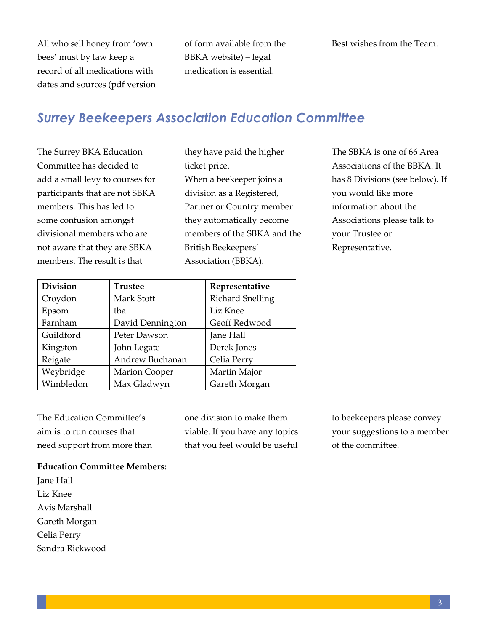All who sell honey from 'own bees' must by law keep a record of all medications with dates and sources (pdf version of form available from the BBKA website) – legal medication is essential.

### *Surrey Beekeepers Association Education Committee*

The Surrey BKA Education Committee has decided to add a small levy to courses for participants that are not SBKA members. This has led to some confusion amongst divisional members who are not aware that they are SBKA members. The result is that

they have paid the higher ticket price. When a beekeeper joins a division as a Registered, Partner or Country member they automatically become members of the SBKA and the British Beekeepers' Association (BBKA).

The SBKA is one of 66 Area Associations of the BBKA. It has 8 Divisions (see below). If you would like more information about the Associations please talk to your Trustee or Representative.

| <b>Division</b> | <b>Trustee</b>       | Representative          |
|-----------------|----------------------|-------------------------|
| Croydon         | Mark Stott           | <b>Richard Snelling</b> |
| Epsom           | tba                  | Liz Knee                |
| Farnham         | David Dennington     | Geoff Redwood           |
| Guildford       | Peter Dawson         | Jane Hall               |
| Kingston        | John Legate          | Derek Jones             |
| Reigate         | Andrew Buchanan      | Celia Perry             |
| Weybridge       | <b>Marion Cooper</b> | Martin Major            |
| Wimbledon       | Max Gladwyn          | Gareth Morgan           |

The Education Committee's aim is to run courses that need support from more than one division to make them viable. If you have any topics that you feel would be useful to beekeepers please convey your suggestions to a member of the committee.

#### **Education Committee Members:**

Jane Hall Liz Knee Avis Marshall Gareth Morgan Celia Perry Sandra Rickwood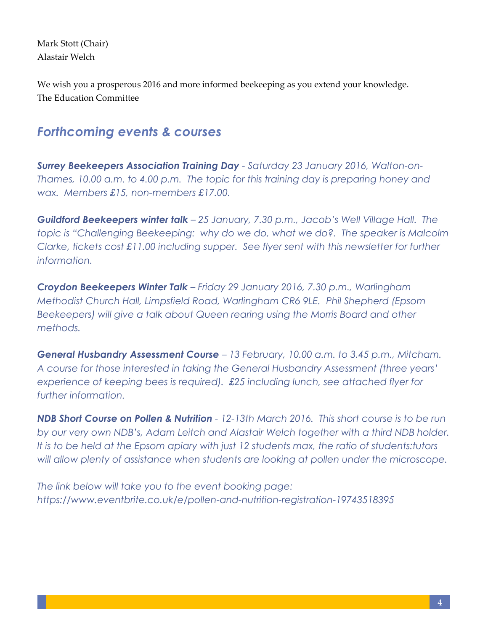Mark Stott (Chair) Alastair Welch

We wish you a prosperous 2016 and more informed beekeeping as you extend your knowledge. The Education Committee

## *Forthcoming events & courses*

*Surrey Beekeepers Association Training Day - Saturday 23 January 2016, Walton-on-Thames, 10.00 a.m. to 4.00 p.m. The topic for this training day is preparing honey and wax. Members £15, non-members £17.00.*

*Guildford Beekeepers winter talk – 25 January, 7.30 p.m., Jacob's Well Village Hall. The topic is "Challenging Beekeeping: why do we do, what we do?. The speaker is Malcolm Clarke, tickets cost £11.00 including supper. See flyer sent with this newsletter for further information.*

*Croydon Beekeepers Winter Talk – Friday 29 January 2016, 7.30 p.m., Warlingham Methodist Church Hall, Limpsfield Road, Warlingham CR6 9LE. Phil Shepherd (Epsom*  Beekeepers) will give a talk about Queen rearing using the Morris Board and other *methods.*

*General Husbandry Assessment Course – 13 February, 10.00 a.m. to 3.45 p.m., Mitcham. A course for those interested in taking the General Husbandry Assessment (three years' experience of keeping bees is required). £25 including lunch, see attached flyer for further information.*

*NDB Short Course on Pollen & Nutrition - 12-13th March 2016. This short course is to be run by our very own NDB's, Adam Leitch and Alastair Welch together with a third NDB holder. It is to be held at the Epsom apiary with just 12 students max, the ratio of students:tutors will allow plenty of assistance when students are looking at pollen under the microscope.*

*The link below will take you to the event booking page: <https://www.eventbrite.co.uk/e/pollen-and-nutrition-registration-19743518395>*